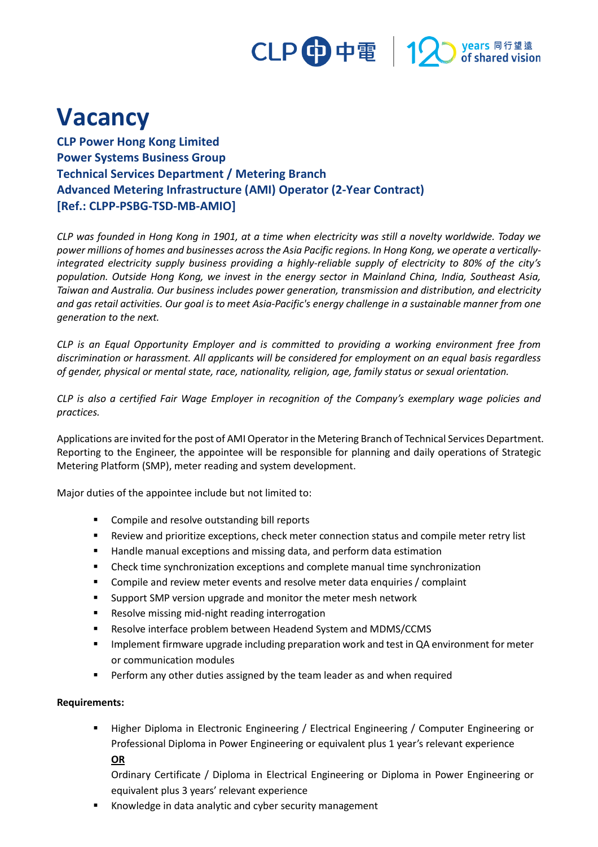

## **Vacancy**

**CLP Power Hong Kong Limited Power Systems Business Group Technical Services Department / Metering Branch Advanced Metering Infrastructure (AMI) Operator (2-Year Contract) [Ref.: CLPP-PSBG-TSD-MB-AMIO]**

*CLP was founded in Hong Kong in 1901, at a time when electricity was still a novelty worldwide. Today we power millions of homes and businesses across the Asia Pacific regions. In Hong Kong, we operate a verticallyintegrated electricity supply business providing a highly-reliable supply of electricity to 80% of the city's population. Outside Hong Kong, we invest in the energy sector in Mainland China, India, Southeast Asia, Taiwan and Australia. Our business includes power generation, transmission and distribution, and electricity and gas retail activities. Our goal is to meet Asia-Pacific's energy challenge in a sustainable manner from one generation to the next.*

*CLP is an Equal Opportunity Employer and is committed to providing a working environment free from discrimination or harassment. All applicants will be considered for employment on an equal basis regardless of gender, physical or mental state, race, nationality, religion, age, family status or sexual orientation.*

*CLP is also a certified Fair Wage Employer in recognition of the Company's exemplary wage policies and practices.*

Applications are invited for the post of AMI Operator in the Metering Branch of Technical Services Department. Reporting to the Engineer, the appointee will be responsible for planning and daily operations of Strategic Metering Platform (SMP), meter reading and system development.

Major duties of the appointee include but not limited to:

- Compile and resolve outstanding bill reports
- Review and prioritize exceptions, check meter connection status and compile meter retry list
- Handle manual exceptions and missing data, and perform data estimation
- **EXECT** Check time synchronization exceptions and complete manual time synchronization
- Compile and review meter events and resolve meter data enquiries / complaint
- Support SMP version upgrade and monitor the meter mesh network
- Resolve missing mid-night reading interrogation
- Resolve interface problem between Headend System and MDMS/CCMS
- Implement firmware upgrade including preparation work and test in QA environment for meter or communication modules
- Perform any other duties assigned by the team leader as and when required

## **Requirements:**

Higher Diploma in Electronic Engineering / Electrical Engineering / Computer Engineering or Professional Diploma in Power Engineering or equivalent plus 1 year's relevant experience **OR**

Ordinary Certificate / Diploma in Electrical Engineering or Diploma in Power Engineering or equivalent plus 3 years' relevant experience

Knowledge in data analytic and cyber security management